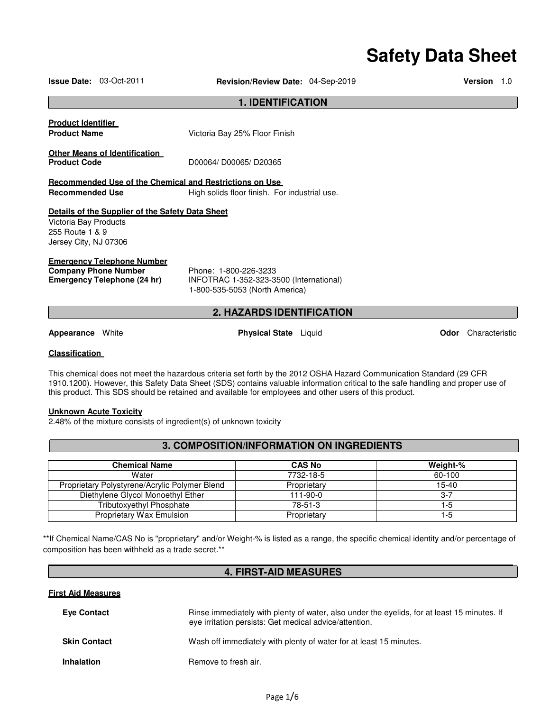# **Safety Data Sheet**

|                                                                   | <b>Issue Date: 03-Oct-2011</b>                                                           | Revision/Review Date: 04-Sep-2019                                                                  | <b>Version</b> | 1.0 |
|-------------------------------------------------------------------|------------------------------------------------------------------------------------------|----------------------------------------------------------------------------------------------------|----------------|-----|
|                                                                   |                                                                                          | <b>1. IDENTIFICATION</b>                                                                           |                |     |
| <u>Product Identifier</u><br><b>Product Name</b>                  |                                                                                          | Victoria Bay 25% Floor Finish                                                                      |                |     |
| <b>Product Code</b>                                               | Other Means of Identification                                                            | D00064/D00065/D20365                                                                               |                |     |
|                                                                   |                                                                                          | Recommended Use of the Chemical and Restrictions on Use                                            |                |     |
| <b>Recommended Use</b>                                            |                                                                                          | High solids floor finish. For industrial use.                                                      |                |     |
| Victoria Bay Products<br>255 Route 1 & 9<br>Jersey City, NJ 07306 | Details of the Supplier of the Safety Data Sheet                                         |                                                                                                    |                |     |
|                                                                   | <u>Emergency Telephone Number</u><br>Company Phone Number<br>Emergency Telephone (24 hr) | Phone: 1-800-226-3233<br>INFOTRAC 1-352-323-3500 (International)<br>1-800-535-5053 (North America) |                |     |

# **2. HAZARDS IDENTIFICATION**

**Appearance** White **Physical State** Liquid **Odor** Characteristic

#### **Classification**

This chemical does not meet the hazardous criteria set forth by the 2012 OSHA Hazard Communication Standard (29 CFR 1910.1200). However, this Safety Data Sheet (SDS) contains valuable information critical to the safe handling and proper use of this product. This SDS should be retained and available for employees and other users of this product.

#### **Unknown Acute Toxicity**

2.48% of the mixture consists of ingredient(s) of unknown toxicity

# **3. COMPOSITION/INFORMATION ON INGREDIENTS**

| <b>Chemical Name</b>                          | <b>CAS No</b> | Weight-%  |
|-----------------------------------------------|---------------|-----------|
| Water                                         | 7732-18-5     | 60-100    |
| Proprietary Polystyrene/Acrylic Polymer Blend | Proprietary   | $15 - 40$ |
| Diethylene Glycol Monoethyl Ether             | 111-90-0      | 3-7       |
| Tributoxyethyl Phosphate                      | 78-51-3       | l -5      |
| <b>Proprietary Wax Emulsion</b>               | Proprietary   | 1-5       |

\*\*If Chemical Name/CAS No is "proprietary" and/or Weight-% is listed as a range, the specific chemical identity and/or percentage of composition has been withheld as a trade secret.\*\*

# **4. FIRST-AID MEASURES**

# **First Aid Measures**

| <b>Eve Contact</b>  | Rinse immediately with plenty of water, also under the eyelids, for at least 15 minutes. If<br>eve irritation persists: Get medical advice/attention. |
|---------------------|-------------------------------------------------------------------------------------------------------------------------------------------------------|
| <b>Skin Contact</b> | Wash off immediately with plenty of water for at least 15 minutes.                                                                                    |
| <b>Inhalation</b>   | Remove to fresh air.                                                                                                                                  |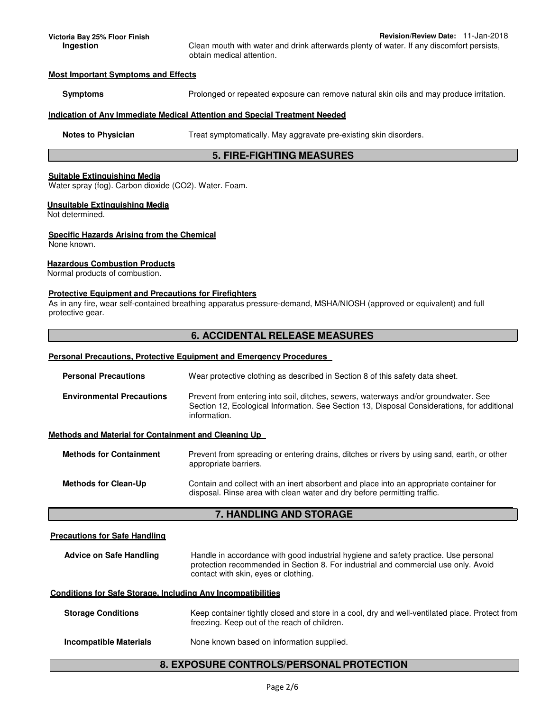**Victoria Bay 25% Floor Finish Revision/Review Date:** 11-Jan-2018 **Ingestion** Clean mouth with water and drink afterwards plenty of water. If any discomfort persists, obtain medical attention.

#### **Most Important Symptoms and Effects**

**Symptoms** Prolonged or repeated exposure can remove natural skin oils and may produce irritation.

#### **Indication of Any Immediate Medical Attention and Special Treatment Needed**

**Notes to Physician Treat symptomatically. May aggravate pre-existing skin disorders.** 

# **5. FIRE-FIGHTING MEASURES**

## **Suitable Extinguishing Media**

Water spray (fog). Carbon dioxide (CO2). Water. Foam.

#### **Unsuitable Extinguishing Media**

Not determined.

#### **Specific Hazards Arising from the Chemical**

None known.

## **Hazardous Combustion Products**

Normal products of combustion.

#### **Protective Equipment and Precautions for Firefighters**

As in any fire, wear self-contained breathing apparatus pressure-demand, MSHA/NIOSH (approved or equivalent) and full protective gear.

# **6. ACCIDENTAL RELEASE MEASURES**

## **Personal Precautions, Protective Equipment and Emergency Procedures**

| <b>Personal Precautions</b>                          | Wear protective clothing as described in Section 8 of this safety data sheet.                                                                                                                      |  |  |  |
|------------------------------------------------------|----------------------------------------------------------------------------------------------------------------------------------------------------------------------------------------------------|--|--|--|
| <b>Environmental Precautions</b>                     | Prevent from entering into soil, ditches, sewers, waterways and/or groundwater. See<br>Section 12, Ecological Information. See Section 13, Disposal Considerations, for additional<br>information. |  |  |  |
| Methods and Material for Containment and Cleaning Up |                                                                                                                                                                                                    |  |  |  |
| <b>Methods for Containment</b>                       | Prevent from spreading or entering drains, ditches or rivers by using sand, earth, or other<br>appropriate barriers.                                                                               |  |  |  |
| <b>Methods for Clean-Up</b>                          | Contain and collect with an inert absorbent and place into an appropriate container for<br>disposal. Rinse area with clean water and dry before permitting traffic.                                |  |  |  |

# **7. HANDLING AND STORAGE**

## **Precautions for Safe Handling**

| <b>Advice on Safe Handling</b> | Handle in accordance with good industrial hygiene and safety practice. Use personal |
|--------------------------------|-------------------------------------------------------------------------------------|
|                                | protection recommended in Section 8. For industrial and commercial use only. Avoid  |
|                                | contact with skin, eyes or clothing.                                                |

## **Conditions for Safe Storage, Including Any Incompatibilities**

| <b>Storage Conditions</b>     | Keep container tightly closed and store in a cool, dry and well-ventilated place. Protect from<br>freezing. Keep out of the reach of children. |
|-------------------------------|------------------------------------------------------------------------------------------------------------------------------------------------|
| <b>Incompatible Materials</b> | None known based on information supplied.                                                                                                      |

# **8. EXPOSURE CONTROLS/PERSONAL PROTECTION**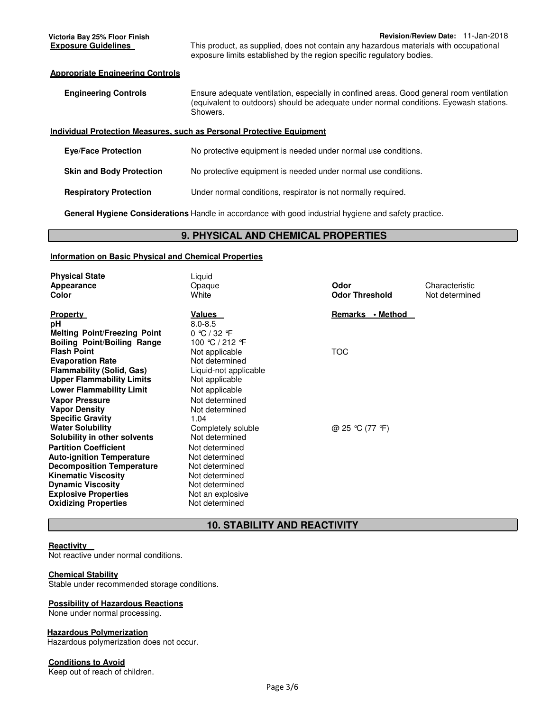#### **Appropriate Engineering Controls**

| <b>Engineering Controls</b> | Ensure adequate ventilation, especially in confined areas. Good general room ventilation |
|-----------------------------|------------------------------------------------------------------------------------------|
|                             | (equivalent to outdoors) should be adequate under normal conditions. Eyewash stations.   |
|                             | Showers.                                                                                 |

#### **Individual Protection Measures, such as Personal Protective Equipment**

| <b>Eve/Face Protection</b>      | No protective equipment is needed under normal use conditions. |
|---------------------------------|----------------------------------------------------------------|
| <b>Skin and Body Protection</b> | No protective equipment is needed under normal use conditions. |
| <b>Respiratory Protection</b>   | Under normal conditions, respirator is not normally required.  |

**General Hygiene Considerations** Handle in accordance with good industrial hygiene and safety practice.

## **9. PHYSICAL AND CHEMICAL PROPERTIES**

## **Information on Basic Physical and Chemical Properties**

| <b>Physical State</b><br><b>Appearance</b><br>Color                            | Liquid<br>Opaque<br>White                            | Odor<br><b>Odor Threshold</b> | Characteristic<br>Not determined |
|--------------------------------------------------------------------------------|------------------------------------------------------|-------------------------------|----------------------------------|
| <b>Property</b><br>рH                                                          | <u>Values</u><br>$8.0 - 8.5$                         | Remarks • Method              |                                  |
| <b>Melting Point/Freezing Point</b><br><b>Boiling Point/Boiling Range</b>      | $0 \text{ °C} / 32 \text{ °F}$<br>100 ℃ / 212 F      |                               |                                  |
| <b>Flash Point</b><br><b>Evaporation Rate</b>                                  | Not applicable<br>Not determined                     | TOC                           |                                  |
| <b>Flammability (Solid, Gas)</b><br><b>Upper Flammability Limits</b>           | Liquid-not applicable<br>Not applicable              |                               |                                  |
| <b>Lower Flammability Limit</b><br><b>Vapor Pressure</b>                       | Not applicable<br>Not determined                     |                               |                                  |
| <b>Vapor Density</b><br><b>Specific Gravity</b><br><b>Water Solubility</b>     | Not determined<br>1.04<br>Completely soluble         | @ 25 °C (77 °F)               |                                  |
| Solubility in other solvents<br><b>Partition Coefficient</b>                   | Not determined<br>Not determined                     |                               |                                  |
| <b>Auto-ignition Temperature</b><br><b>Decomposition Temperature</b>           | Not determined<br>Not determined                     |                               |                                  |
| Kinematic Viscosity<br><b>Dynamic Viscosity</b><br><b>Explosive Properties</b> | Not determined<br>Not determined<br>Not an explosive |                               |                                  |
| Oxidizing Properties                                                           | Not determined                                       |                               |                                  |

# **10. STABILITY AND REACTIVITY**

## **Reactivity**

Not reactive under normal conditions.

## **Chemical Stability**

Stable under recommended storage conditions.

#### **Possibility of Hazardous Reactions**

None under normal processing.

## **Hazardous Polymerization**

Hazardous polymerization does not occur.

## **Conditions to Avoid**

Keep out of reach of children.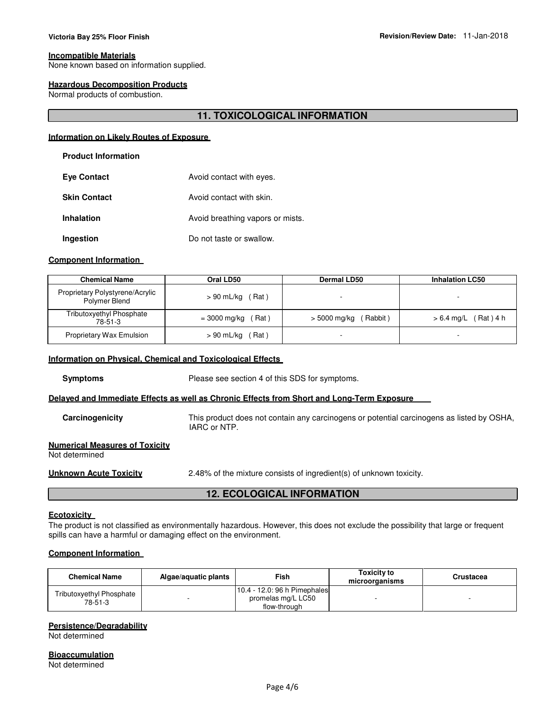#### **Incompatible Materials**

None known based on information supplied.

#### **Hazardous Decomposition Products**

Normal products of combustion.

# **11. TOXICOLOGICAL INFORMATION**

#### **Information on Likely Routes of Exposure**

#### **Product Information**

| <b>Eye Contact</b>  | Avoid contact with eyes.         |
|---------------------|----------------------------------|
| <b>Skin Contact</b> | Avoid contact with skin.         |
| <b>Inhalation</b>   | Avoid breathing vapors or mists. |
| Ingestion           | Do not taste or swallow.         |

## **Component Information**

| <b>Chemical Name</b>                             | Oral LD50            | <b>Dermal LD50</b>      | <b>Inhalation LC50</b>    |
|--------------------------------------------------|----------------------|-------------------------|---------------------------|
| Proprietary Polystyrene/Acrylic<br>Polymer Blend | $> 90$ mL/kg (Rat)   |                         |                           |
| <b>Tributoxyethyl Phosphate</b><br>78-51-3       | Rat)<br>= 3000 mg/kg | Rabbit)<br>> 5000 mg/kg | Rat ) 4 h<br>$> 6.4$ mg/L |
| Proprietary Wax Emulsion                         | Rat)<br>> 90 mL/kg   |                         |                           |

#### **Information on Physical, Chemical and Toxicological Effects**

**Symptoms** Please see section 4 of this SDS for symptoms.

#### **Delayed and Immediate Effects as well as Chronic Effects from Short and Long-Term Exposure**

**Carcinogenicity** This product does not contain any carcinogens or potential carcinogens as listed by OSHA, IARC or NTP.

#### **Numerical Measures of Toxicity**

Not determined

**Unknown Acute Toxicity** 2.48% of the mixture consists of ingredient(s) of unknown toxicity.

# **12. ECOLOGICAL INFORMATION**

#### **Ecotoxicity**

The product is not classified as environmentally hazardous. However, this does not exclude the possibility that large or frequent spills can have a harmful or damaging effect on the environment.

# **Component Information**

| <b>Chemical Name</b>                | Algae/aguatic plants | Fish                                                               | Toxicity to<br>microorganisms | Crustacea |
|-------------------------------------|----------------------|--------------------------------------------------------------------|-------------------------------|-----------|
| Tributoxyethyl Phosphate<br>78-51-3 |                      | 10.4 - 12.0: 96 h Pimephales<br>promelas mg/L LC50<br>flow-through |                               |           |

## **Persistence/Degradability**

Not determined

**Bioaccumulation** Not determined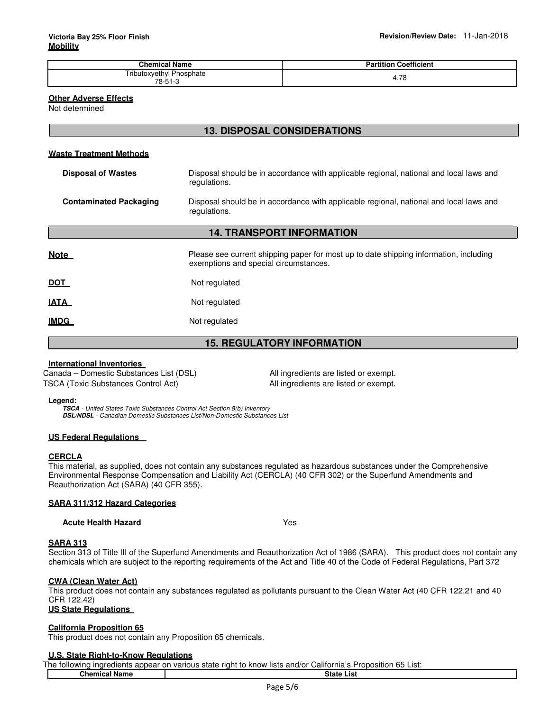| <b>Chemical Name</b>                | <b>Partition Coefficient</b> |
|-------------------------------------|------------------------------|
| Tributoxyethyl Phosphate<br>78-51-3 | 7c<br>4<br>7. / U<br>$\sim$  |

## **Other Adverse Effects**

Not determined

# **13. DISPOSAL CONSIDERATIONS**

## **Waste Treatment Methods**

| <b>Disposal of Wastes</b>        | Disposal should be in accordance with applicable regional, national and local laws and<br>regulations.                         |  |  |  |
|----------------------------------|--------------------------------------------------------------------------------------------------------------------------------|--|--|--|
| <b>Contaminated Packaging</b>    | Disposal should be in accordance with applicable regional, national and local laws and<br>regulations.                         |  |  |  |
| <b>14. TRANSPORT INFORMATION</b> |                                                                                                                                |  |  |  |
| Note                             | Please see current shipping paper for most up to date shipping information, including<br>exemptions and special circumstances. |  |  |  |
| <u>DOT</u>                       | Not regulated                                                                                                                  |  |  |  |
| <b>IATA</b>                      | Not regulated                                                                                                                  |  |  |  |
| IMDG                             | Not regulated                                                                                                                  |  |  |  |

# **15. REGULATORY INFORMATION**

## **International Inventories**

Canada – Domestic Substances List (DSL) All ingredients are listed or exempt. TSCA (Toxic Substances Control Act) All ingredients are listed or exempt.

**Legend:**

**TSCA** - United States Toxic Substances Control Act Section 8(b) Inventory **DSL/NDSL** - Canadian Domestic Substances List/Non-Domestic Substances List

## **US Federal Regulations**

## **CERCLA**

This material, as supplied, does not contain any substances regulated as hazardous substances under the Comprehensive Environmental Response Compensation and Liability Act (CERCLA) (40 CFR 302) or the Superfund Amendments and Reauthorization Act (SARA) (40 CFR 355).

# **SARA 311/312 Hazard Categories**

**Acute Health Hazard** Yes

## **SARA 313**

Section 313 of Title III of the Superfund Amendments and Reauthorization Act of 1986 (SARA). This product does not contain any chemicals which are subject to the reporting requirements of the Act and Title 40 of the Code of Federal Regulations, Part 372

## **CWA (Clean Water Act)**

This product does not contain any substances regulated as pollutants pursuant to the Clean Water Act (40 CFR 122.21 and 40 CFR 122.42)

# **US State Regulations**

## **California Proposition 65**

This product does not contain any Proposition 65 chemicals.

# **U.S. State Right-to-Know Regulations**

The following ingredients appear on various state right to know lists and/or California's Proposition 65 List: **Chemical Name State List**